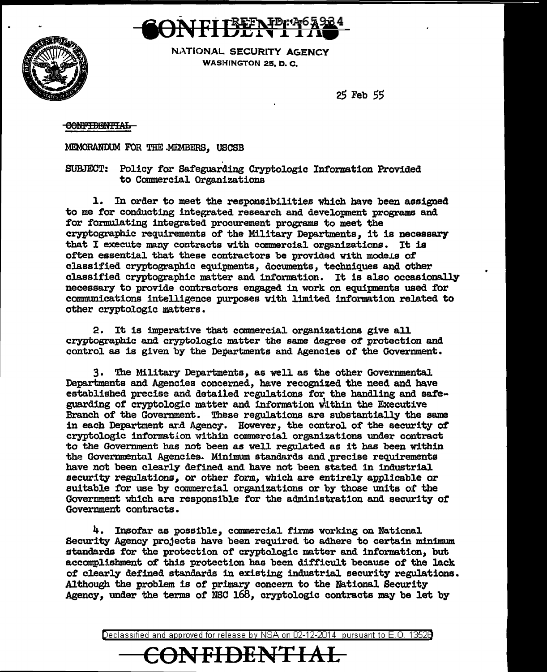

NATIONAL SECURITY AGENCY WASHINGTON 25, D. C.

 $25$  Feb  $55$ 

# <del>CONFIDENTIAL</del>

MEMORANDUM FOR THE MEMBERS, USCSB

SUBJECT: Policy for Safeguarding Cryptologic Information Provided to Commercial Organizations

1. In order to meet the responsibilities which have been assigned to me for conducting integrated research and development programs and for formulating integrated procurement programs to meet the cryptographic requirements of the Military Departments, it is necessary that I execute many contracts with commercial organizations. It is often essential that these contractors be provided with models of classified cryptographic equipments, documents, techniques and other classified cryptographic matter and information. It is also occasionally necessary to provide contractors engaged in work on equipments used for communications intelligence purposes with limited information related to other cryptologic matters.

2. It is imperative that commercial organizations give all cryptographic and cryptologic matter the same degree of protection and control as is given by the Departments and Agencies of the Government.

The Military Departments, as well as the other Governmental 3. Departments and Agencies concerned, have recognized the need and have established precise and detailed regulations for the handling and safeguarding of cryptologic matter and information within the Executive Branch of the Government. These regulations are substantially the same in each Department and Agency. However, the control of the security of cryptologic information within commercial organizations under contract to the Government has not been as well regulated as it has been within the Governmental Agencies. Minimum standards and precise requirements have not been clearly defined and have not been stated in industrial security regulations, or other form, which are entirely applicable or suitable for use by commercial organizations or by those units of the Government which are responsible for the administration and security of Government contracts.

4. Insofar as possible, commercial firms working on National Security Agency projects have been required to adhere to certain minimum standards for the protection of cryptologic matter and information, but accomplishment of this protection has been difficult because of the lack of clearly defined standards in existing industrial security regulations. Although the problem is of primary concern to the National Security Agency, under the terms of NSC 168, cryptologic contracts may be let by

Declassified and approved for release by NSA on 02-12-2014 pursuant to E.O. 13526

<del>CONFIDENTIAL</del>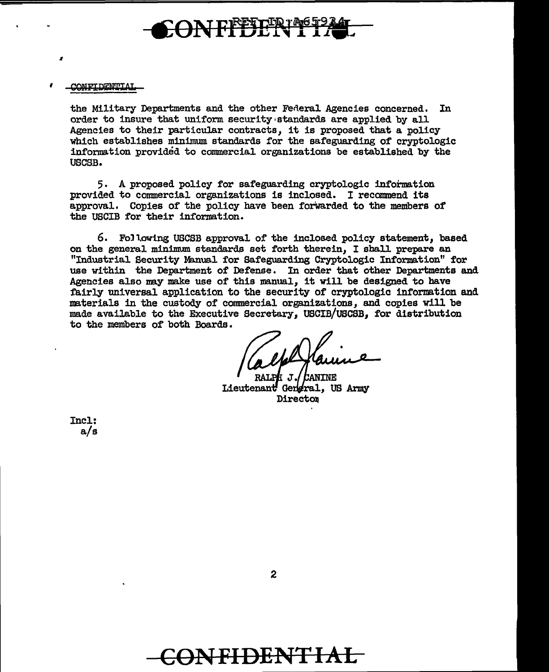

CONFIDENTIAL

I

the Military Departments and the other Feneral Agencies concerned. In order to insure that uniform security•standards are applied by all Agencies to their particular contracts, it is proposed that a policy which establishes minimum standards for the safeguarding of cryptologic information provided to commercial organizations be established by the USCSB.

5. A proposed policy for safeguarding cryptologic information provided to commercial organizations is inclosed. I recommend its approval. Copies of the policy have been forwarded to the members of the USCIB for their information.

6. Following USCSB approval of the inclosed policy statement, based on the general minimum standards set forth therein. I shall prepare an "Industrial Security Manual for Safeguarding Cryptologic Information" for use within the Department of Defense. In order that other Departments and Agencies also may make use of this manual, it will be designed to have fairly universal application to the security of cryptologic information and materials in the custody of commercial organizations, and copies will be made available to the Executive Secretary, USCIB/USCSB, for distribution to the members of both Boards.

RALPH J. / Cantne Lieutenant Gengral, US Army Director

Incl: a/s

**CONFIDENTIAL**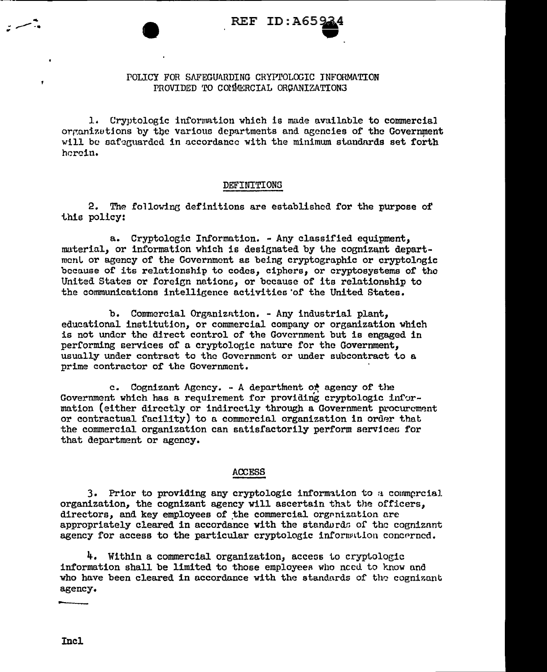# POLICY FOR SAFEGUARDING CRYPTOLOGIC INFORMATION PROVIDED TO COMMERCIAL ORGANIZATIONS

1. Cryptologic information which is made available to commercial organizations by the various departments and agencies of the Government will be safeguarded in accordance with the minimum standards set forth herein.

### **DEFINITIONS**

2. The following definitions are established for the purpose of this policy:

a. Cryptologic Information. - Any classified equipment, material, or information which is designated by the cognizant department or agency of the Government as being cryptographic or cryptologic because of its relationship to codes, ciphers, or cryptosystems of the United States or foreign nations, or because of its relationship to the communications intelligence activities of the United States.

b. Commercial Organization. - Any industrial plant. educational institution, or commercial company or organization which is not under the direct control of the Government but is engaged in performing services of a cryptologic nature for the Government. usually under contract to the Government or under subcontract to a prime contractor of the Government.

c. Cognizant Agency. - A department of agency of the Government which has a requirement for providing cryptologic information (either directly or indirectly through a Government procurement or contractual facility) to a commercial organization in order that the commercial organization can satisfactorily perform services for that department or agency.

# **ACCESS**

3. Prior to providing any cryptologic information to a commercial organization, the cognizant agency will ascertain that the officers. directors, and key employees of the commercial organization are appropriately cleared in accordance with the standards of the cognizant agency for access to the particular cryptologic information concerned.

4. Within a commercial organization, access to cryptologic information shall be limited to those employees who need to know and who have been cleared in accordance with the standards of the cognizant agency.

Incl.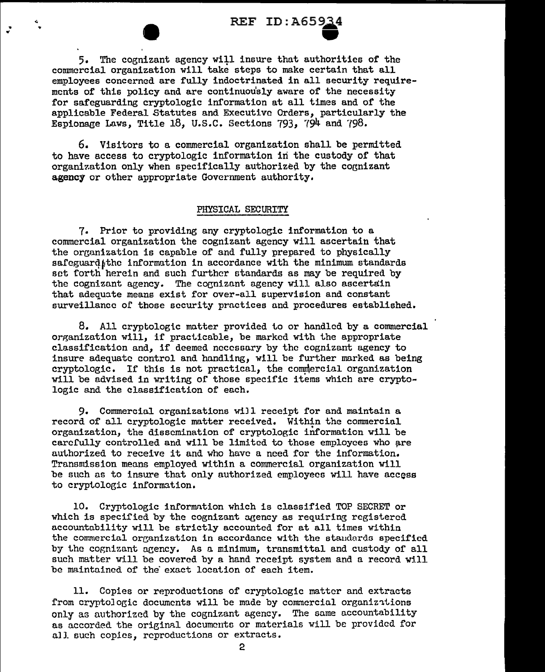REF ID: A65934 5. The cognizant agency will insure that authorities of the commercial organization will take steps to make certain that all employees concerned are fully indoctrinated in all security requirements of this policy and are continuou'sly aware of the necessity for safeguarding cryptologic information at all times and or the applicable Federal Statutes and Executive Orders, particularly the Espionage Laws, Title  $18$ , U.S.C. Sections  $793$ ,  $794$  and  $798$ .

6. Visitors to a commercial organization shall be permitted to have access to cryptologic information iri the custody or that organization only when specifically authorized by the cognizant agency or other appropriate Government authority.

### PHYSICAL SECURITY

7. Prior to providing any cryptologic information to a commercial organization the cognizant agency will ascertain that the organization is capable of and fully prepared to physically safeguard the information in accordance with the minimum standards set forth herein and such further standards as may be required by the cognizant agency. The cognizant agency will also ascertain that adequate means exist for over-all supervision and constant surveillance of those security practices and procedures established.

8. All cryptologic matter provided to or handled by a commercial organization will, if practicable, be marked with the appropriate classification and, if deemed necessary by the cognizant agency to insure adequate control and handling, will be further marked as being cryptologic. If this is not practical, the commercial organization will be advised in writing of those specific items which are cryptologic and the classification of each.

9. Commercial organizations wiJl receipt for and maintain a record of all cryptologic matter received. Within the commercial organization, the dissemination of cryptologic intormation will be carefully controlled and will be limited to those employees who are authorized to receive it and who have a need for the information. Transmission means employed within a commercial organization will be such as to insure that only authorized employees will have access to cryptologic information.

10. Cryptologic information which is classified TOP SECRET or which is specified by the cognizant agency as requiring registered accountability will be strictly accounted for at all times within the commercial organization in accordance with the standards specified by the cognizant agency. As a minimum, transmittal and custody of all such matter will be covered by a hand receipt system and a record will be maintained of the' exact location of each item.

11. Copies or reproductions of cryptologic matter and extracts from cryptologic documents will be made by commercial organizations only as authorized by the cognizant agency. The same accountability as accorded the original documents or materials will be provided for all such copies, reproductions or extracts.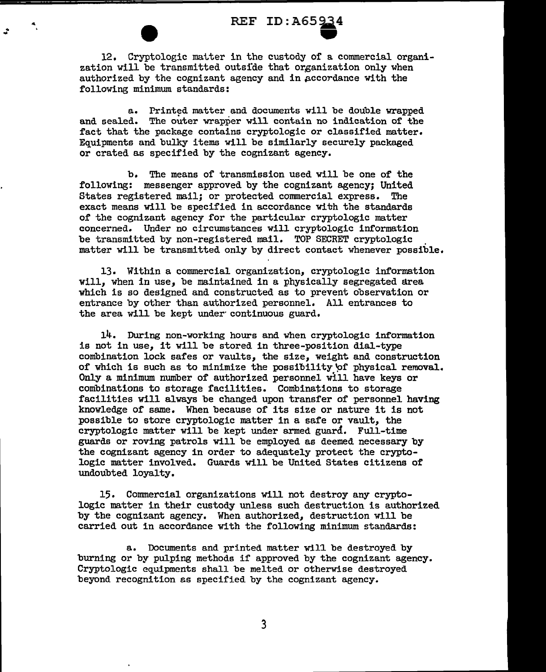.. ... REF ID: A65~4 • 12, Cryptologic matter in the custody of a commercial organization will be transmitted outsfde that organization only when authorized by the cognizant agency and in accordance with the following minimum standards:

> a. Printed matter and documents will be double wrapped and sealed. The outer vrapper will contain no indication of the fact that the package contains cryptologic or classified matter. Equipments and bulky items will be similarly securely packaged or crated as specified by the cognizant agency.

b. The means of transmission used will be one of the following: messenger approved by the cognizant agency; United States registered mail; or protected commercial express. The exact means will be specified in accordance with the standards of the cognizant agency for the particular cryptologic matter concerned. Under no circumstances will cryptologic information be transmitted by non-registered mail. TOP SECRET cryptologic matter will be transmitted only by direct contact whenever possible.

13. Within a commercial organization, cryptologic information will, when in use, be maintained in a physically segregated area which is so designed and constructed as to prevent observation or entrance by other than authorized personnel. All entrances to the area will be kept under continuous guard.

14. During non-working hours and when cryptologic information is not in use, it will be stored in three-position dial-type combination lock safes or vaults, the size, weight and construction of which is such as to minimize the possibility'of physical removal. Only a minimum number of authorized personnel will have keys or combinations to storage facilities. Combinations to storage facilities will always be changed upon transfer of personnel having knowledge or same. When because of its size or nature it is not possible to store cryptologic matter in a safe or vault, the cryptologic matter will be kept under armed guard. Full-time guards or roving patrols will be employed as deemed necessary by the cognizant agency in order to adequately protect the cryptologic matter involved. Guards will be United States citizens of undoubted loyalty.

15. Commercial organizations will not destroy any cryptologic matter in their custody unless such destruction is authorized by the cognizant agency. When authorized, destruction will be carried out in accordance with the following minimum standards:

a. Documents and printed matter wil1 be destroyed by burning or by pulping methods if approved by the cognizant agency. Cryptologic equipments shall be melted or otherwise destroyed beyond recognition ss specified by the cognizant agency.